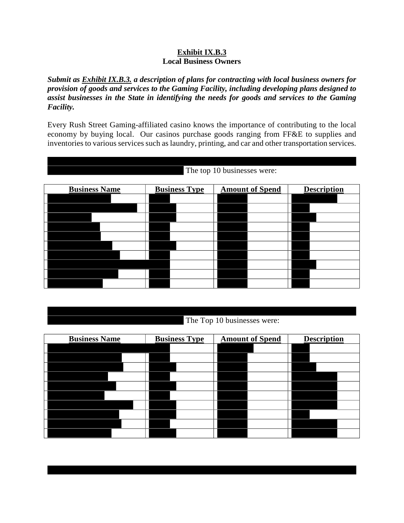## **Exhibit IX.B.3 Local Business Owners**

*Submit as Exhibit IX.B.3. a description of plans for contracting with local business owners for provision of goods and services to the Gaming Facility, including developing plans designed to assist businesses in the State in identifying the needs for goods and services to the Gaming Facility.*

Every Rush Street Gaming-affiliated casino knows the importance of contributing to the local economy by buying local. Our casinos purchase goods ranging from FF&E to supplies and inventories to various services such as laundry, printing, and car and other transportation services.

The top 10 businesses were:

| <b>Business Name</b> | <b>Business Type</b> | <b>Amount of Spend</b> | <b>Description</b> |
|----------------------|----------------------|------------------------|--------------------|
|                      |                      |                        |                    |
|                      |                      |                        |                    |
|                      |                      |                        |                    |
|                      |                      |                        |                    |
|                      |                      |                        |                    |
|                      |                      |                        |                    |
|                      |                      |                        |                    |
|                      |                      |                        |                    |
|                      |                      |                        |                    |
|                      |                      |                        |                    |

| The Top 10 businesses were: |
|-----------------------------|

| <b>Business Name</b> | <b>Business Type</b> | <b>Amount of Spend</b> | <b>Description</b> |
|----------------------|----------------------|------------------------|--------------------|
|                      |                      |                        |                    |
|                      |                      |                        |                    |
|                      |                      |                        |                    |
|                      |                      |                        |                    |
|                      |                      |                        |                    |
|                      |                      |                        |                    |
|                      |                      |                        |                    |
|                      |                      |                        |                    |
|                      |                      |                        |                    |
|                      |                      |                        |                    |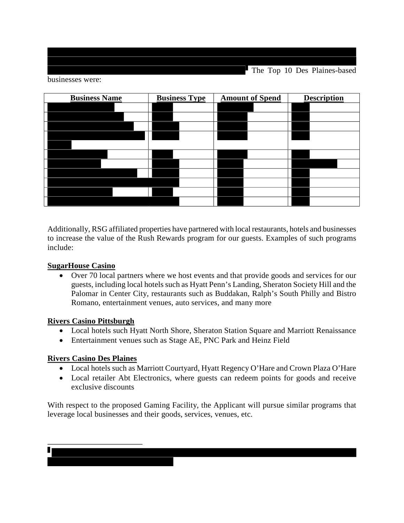The Top 10 Des Plaines-based

businesses were:

| <b>Business Name</b> | <b>Business Type</b> | <b>Amount of Spend</b> | <b>Description</b> |
|----------------------|----------------------|------------------------|--------------------|
|                      |                      |                        |                    |
|                      |                      |                        |                    |
|                      |                      |                        |                    |
|                      |                      |                        |                    |
|                      |                      |                        |                    |
|                      |                      |                        |                    |
|                      |                      |                        |                    |
|                      |                      |                        |                    |
|                      |                      |                        |                    |
|                      |                      |                        |                    |
|                      |                      |                        |                    |

Additionally, RSG affiliated properties have partnered with local restaurants, hotels and businesses to increase the value of the Rush Rewards program for our guests. Examples of such programs include:

## **SugarHouse Casino**

 Over 70 local partners where we host events and that provide goods and services for our guests, including local hotels such as Hyatt Penn's Landing, Sheraton Society Hill and the Palomar in Center City, restaurants such as Buddakan, Ralph's South Philly and Bistro Romano, entertainment venues, auto services, and many more

## **Rivers Casino Pittsburgh**

- Local hotels such Hyatt North Shore, Sheraton Station Square and Marriott Renaissance
- Entertainment venues such as Stage AE, PNC Park and Heinz Field

## **Rivers Casino Des Plaines**

- Local hotels such as Marriott Courtyard, Hyatt Regency O'Hare and Crown Plaza O'Hare
- Local retailer Abt Electronics, where guests can redeem points for goods and receive exclusive discounts

With respect to the proposed Gaming Facility, the Applicant will pursue similar programs that leverage local businesses and their goods, services, venues, etc.